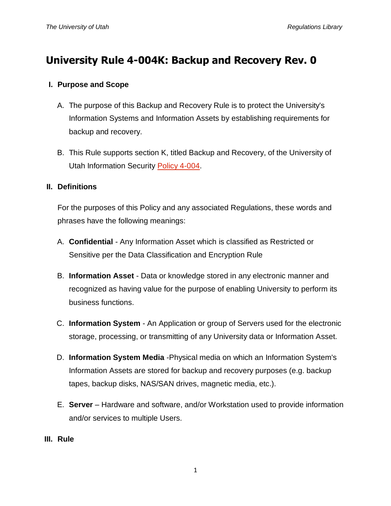# **University Rule 4-004K: Backup and Recovery Rev. 0**

## **I. Purpose and Scope**

- A. The purpose of this Backup and Recovery Rule is to protect the University's Information Systems and Information Assets by establishing requirements for backup and recovery.
- B. This Rule supports section K, titled Backup and Recovery, of the University of Utah Information Security [Policy 4-004.](http://regulations.utah.edu/it/4-004.php)

## **II. Definitions**

For the purposes of this Policy and any associated Regulations, these words and phrases have the following meanings:

- A. **Confidential** Any Information Asset which is classified as Restricted or Sensitive per the Data Classification and Encryption Rule
- B. **Information Asset** Data or knowledge stored in any electronic manner and recognized as having value for the purpose of enabling University to perform its business functions.
- C. **Information System** An Application or group of Servers used for the electronic storage, processing, or transmitting of any University data or Information Asset.
- D. **Information System Media** -Physical media on which an Information System's Information Assets are stored for backup and recovery purposes (e.g. backup tapes, backup disks, NAS/SAN drives, magnetic media, etc.).
- E. **Server** Hardware and software, and/or Workstation used to provide information and/or services to multiple Users.
- **III. Rule**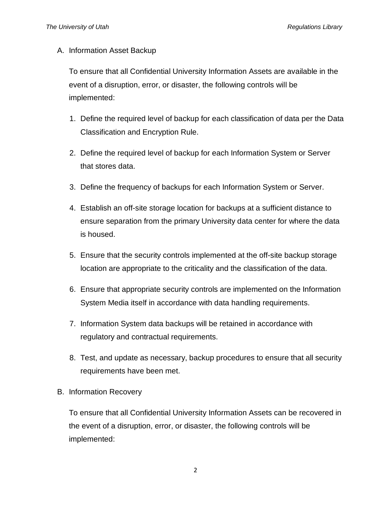A. Information Asset Backup

To ensure that all Confidential University Information Assets are available in the event of a disruption, error, or disaster, the following controls will be implemented:

- 1. Define the required level of backup for each classification of data per the Data Classification and Encryption Rule.
- 2. Define the required level of backup for each Information System or Server that stores data.
- 3. Define the frequency of backups for each Information System or Server.
- 4. Establish an off-site storage location for backups at a sufficient distance to ensure separation from the primary University data center for where the data is housed.
- 5. Ensure that the security controls implemented at the off-site backup storage location are appropriate to the criticality and the classification of the data.
- 6. Ensure that appropriate security controls are implemented on the Information System Media itself in accordance with data handling requirements.
- 7. Information System data backups will be retained in accordance with regulatory and contractual requirements.
- 8. Test, and update as necessary, backup procedures to ensure that all security requirements have been met.
- B. Information Recovery

To ensure that all Confidential University Information Assets can be recovered in the event of a disruption, error, or disaster, the following controls will be implemented: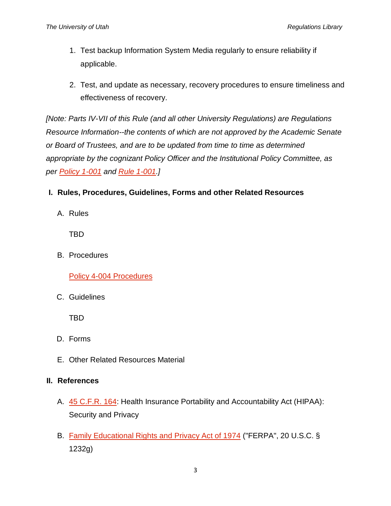- 1. Test backup Information System Media regularly to ensure reliability if applicable.
- 2. Test, and update as necessary, recovery procedures to ensure timeliness and effectiveness of recovery.

*[Note: Parts IV-VII of this Rule (and all other University Regulations) are Regulations Resource Information--the contents of which are not approved by the Academic Senate or Board of Trustees, and are to be updated from time to time as determined appropriate by the cognizant Policy Officer and the Institutional Policy Committee, as per [Policy 1-001](http://regulations.utah.edu/general/1-001.php) and [Rule 1-001.](http://regulations.utah.edu/general/rules/R1-001.php)]*

- **I. Rules, Procedures, Guidelines, Forms and other Related Resources**
	- A. Rules

TBD

B. Procedures

[Policy 4-004 Procedures](https://uofu.box.com/v/Procedures)

C. Guidelines

TBD

- D. Forms
- E. Other Related Resources Material

## **II. References**

- A. [45 C.F.R. 164:](http://www.gpo.gov/fdsys/pkg/CFR-2011-title45-vol1/pdf/CFR-2011-title45-vol1-part164.pdf) Health Insurance Portability and Accountability Act (HIPAA): Security and Privacy
- B. [Family Educational Rights and Privacy Act of 1974](http://www2.ed.gov/policy/gen/guid/fpco/ferpa/index.html) ("FERPA", 20 U.S.C. § 1232g)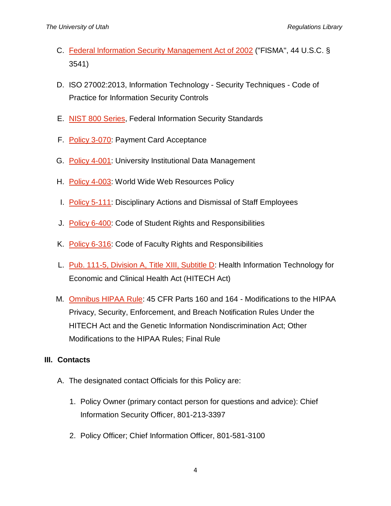- C. [Federal Information Security Management Act of 2002](http://www.dhs.gov/federal-information-security-management-act-fisma) ("FISMA", 44 U.S.C. § 3541)
- D. ISO 27002:2013, Information Technology Security Techniques Code of Practice for Information Security Controls
- E. [NIST 800 Series,](http://csrc.nist.gov/publications/PubsSPs.html) Federal Information Security Standards
- F. [Policy 3-070:](http://regulations.utah.edu/administration/3-070.php) Payment Card Acceptance
- G. [Policy 4-001:](http://regulations.utah.edu/it/4-001.php) University Institutional Data Management
- H. [Policy 4-003:](http://regulations.utah.edu/it/4-003.php) World Wide Web Resources Policy
- I. [Policy 5-111:](http://regulations.utah.edu/human-resources/5-111.php) Disciplinary Actions and Dismissal of Staff Employees
- J. [Policy 6-400:](http://regulations.utah.edu/academics/6-400.php) Code of Student Rights and Responsibilities
- K. [Policy 6-316:](http://regulations.utah.edu/academics/6-316.php) Code of Faculty Rights and Responsibilities
- L. [Pub. 111-5, Division A, Title XIII, Subtitle D:](http://www.hhs.gov/ocr/privacy/hipaa/understanding/coveredentities/hitechact.pdf) Health Information Technology for Economic and Clinical Health Act (HITECH Act)
- M. [Omnibus HIPAA Rule:](http://www.gpo.gov/fdsys/pkg/FR-2013-01-25/pdf/2013-01073.pdf) 45 CFR Parts 160 and 164 Modifications to the HIPAA Privacy, Security, Enforcement, and Breach Notification Rules Under the HITECH Act and the Genetic Information Nondiscrimination Act; Other Modifications to the HIPAA Rules; Final Rule

## **III. Contacts**

- A. The designated contact Officials for this Policy are:
	- 1. Policy Owner (primary contact person for questions and advice): Chief Information Security Officer, 801-213-3397
	- 2. Policy Officer; Chief Information Officer, 801-581-3100